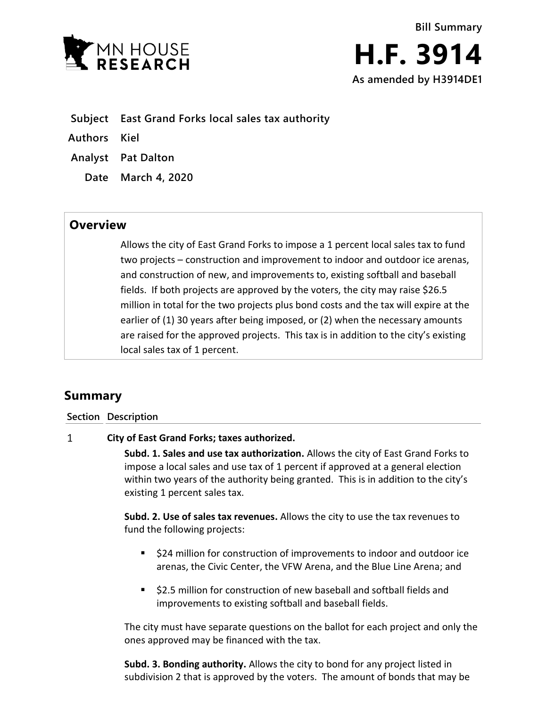

- **Subject East Grand Forks local sales tax authority**
- **Authors Kiel**
- **Analyst Pat Dalton**
	- **Date March 4, 2020**

## **Overview**

Allows the city of East Grand Forks to impose a 1 percent local sales tax to fund two projects – construction and improvement to indoor and outdoor ice arenas, and construction of new, and improvements to, existing softball and baseball fields. If both projects are approved by the voters, the city may raise \$26.5 million in total for the two projects plus bond costs and the tax will expire at the earlier of (1) 30 years after being imposed, or (2) when the necessary amounts are raised for the approved projects. This tax is in addition to the city's existing local sales tax of 1 percent.

# **Summary**

### **Section Description**

#### $\mathbf{1}$ **City of East Grand Forks; taxes authorized.**

**Subd. 1. Sales and use tax authorization.** Allows the city of East Grand Forks to impose a local sales and use tax of 1 percent if approved at a general election within two years of the authority being granted. This is in addition to the city's existing 1 percent sales tax.

**Subd. 2. Use of sales tax revenues.** Allows the city to use the tax revenues to fund the following projects:

- \$24 million for construction of improvements to indoor and outdoor ice arenas, the Civic Center, the VFW Arena, and the Blue Line Arena; and
- **52.5 million for construction of new baseball and softball fields and** improvements to existing softball and baseball fields.

The city must have separate questions on the ballot for each project and only the ones approved may be financed with the tax.

**Subd. 3. Bonding authority.** Allows the city to bond for any project listed in subdivision 2 that is approved by the voters. The amount of bonds that may be